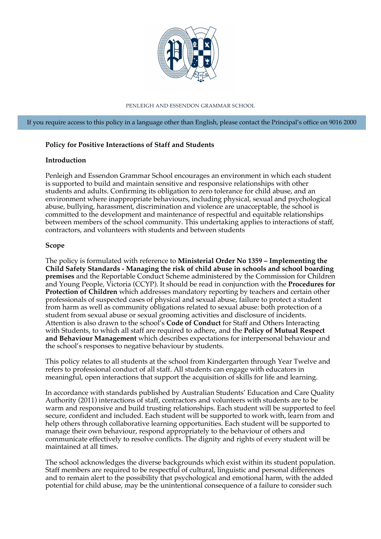

PENLEIGH AND ESSENDON GRAMMAR SCHOOL

If you require access to this policy in a language other than English, please contact the Principal's office on 9016 2000

### **Policy for Positive Interactions of Staff and Students**

### **Introduction**

Penleigh and Essendon Grammar School encourages an environment in which each student is supported to build and maintain sensitive and responsive relationships with other students and adults. Confirming its obligation to zero tolerance for child abuse, and an environment where inappropriate behaviours, including physical, sexual and psychological abuse, bullying, harassment, discrimination and violence are unacceptable, the school is committed to the development and maintenance of respectful and equitable relationships between members of the school community. This undertaking applies to interactions of staff, contractors, and volunteers with students and between students

#### **Scope**

The policy is formulated with reference to **Ministerial Order No 1359 – Implementing the Child Safety Standards - Managing the risk of child abuse in schools and school boarding premises** and the Reportable Conduct Scheme administered by the Commission for Children and Young People, Victoria (CCYP). It should be read in conjunction with the **Procedures for Protection of Children** which addresses mandatory reporting by teachers and certain other professionals of suspected cases of physical and sexual abuse, failure to protect a student from harm as well as community obligations related to sexual abuse: both protection of a student from sexual abuse or sexual grooming activities and disclosure of incidents. Attention is also drawn to the school's **Code of Conduct** for Staff and Others Interacting with Students, to which all staff are required to adhere, and the **Policy of Mutual Respect and Behaviour Management** which describes expectations for interpersonal behaviour and the school's responses to negative behaviour by students.

This policy relates to all students at the school from Kindergarten through Year Twelve and refers to professional conduct of all staff. All students can engage with educators in meaningful, open interactions that support the acquisition of skills for life and learning.

In accordance with standards published by Australian Students' Education and Care Quality Authority (2011) interactions of staff, contractors and volunteers with students are to be warm and responsive and build trusting relationships. Each student will be supported to feel secure, confident and included. Each student will be supported to work with, learn from and help others through collaborative learning opportunities. Each student will be supported to manage their own behaviour, respond appropriately to the behaviour of others and communicate effectively to resolve conflicts. The dignity and rights of every student will be maintained at all times.

The school acknowledges the diverse backgrounds which exist within its student population. Staff members are required to be respectful of cultural, linguistic and personal differences and to remain alert to the possibility that psychological and emotional harm, with the added potential for child abuse, may be the unintentional consequence of a failure to consider such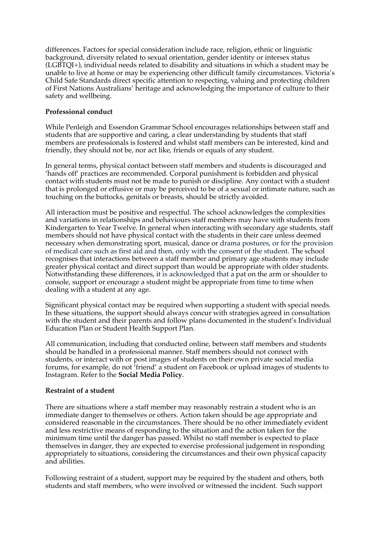differences. Factors for special consideration include race, religion, ethnic or linguistic background, diversity related to sexual orientation, gender identity or intersex status (LGBTQI+), individual needs related to disability and situations in which a student may be unable to live at home or may be experiencing other difficult family circumstances. Victoria's Child Safe Standards direct specific attention to respecting, valuing and protecting children of First Nations Australians' heritage and acknowledging the importance of culture to their safety and wellbeing.

# **Professional conduct**

While Penleigh and Essendon Grammar School encourages relationships between staff and students that are supportive and caring, a clear understanding by students that staff members are professionals is fostered and whilst staff members can be interested, kind and friendly, they should not be, nor act like, friends or equals of any student.

In general terms, physical contact between staff members and students is discouraged and 'hands off' practices are recommended. Corporal punishment is forbidden and physical contact with students must not be made to punish or discipline. Any contact with a student that is prolonged or effusive or may be perceived to be of a sexual or intimate nature, such as touching on the buttocks, genitals or breasts, should be strictly avoided.

All interaction must be positive and respectful. The school acknowledges the complexities and variations in relationships and behaviours staff members may have with students from Kindergarten to Year Twelve. In general when interacting with secondary age students, staff members should not have physical contact with the students in their care unless deemed necessary when demonstrating sport, musical, dance or drama postures, or for the provision of medical care such as first aid and then, only with the consent of the student. The school recognises that interactions between a staff member and primary age students may include greater physical contact and direct support than would be appropriate with older students. Notwithstanding these differences, it is acknowledged that a pat on the arm or shoulder to console, support or encourage a student might be appropriate from time to time when dealing with a student at any age.

Significant physical contact may be required when supporting a student with special needs. In these situations, the support should always concur with strategies agreed in consultation with the student and their parents and follow plans documented in the student's Individual Education Plan or Student Health Support Plan.

All communication, including that conducted online, between staff members and students should be handled in a professional manner. Staff members should not connect with students, or interact with or post images of students on their own private social media forums, for example, do not 'friend' a student on Facebook or upload images of students to Instagram. Refer to the **Social Media Policy**.

### **Restraint of a student**

There are situations where a staff member may reasonably restrain a student who is an immediate danger to themselves or others. Action taken should be age appropriate and considered reasonable in the circumstances. There should be no other immediately evident and less restrictive means of responding to the situation and the action taken for the minimum time until the danger has passed. Whilst no staff member is expected to place themselves in danger, they are expected to exercise professional judgement in responding appropriately to situations, considering the circumstances and their own physical capacity and abilities.

Following restraint of a student, support may be required by the student and others, both students and staff members, who were involved or witnessed the incident. Such support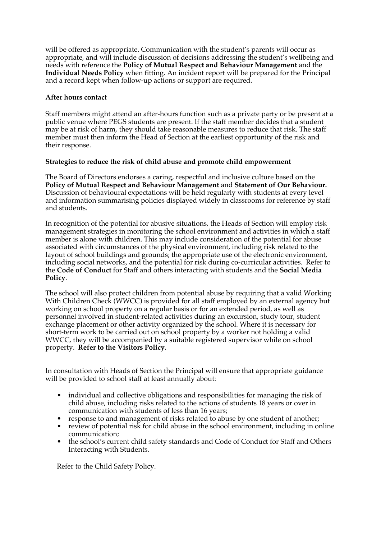will be offered as appropriate. Communication with the student's parents will occur as appropriate, and will include discussion of decisions addressing the student's wellbeing and needs with reference the **Policy of Mutual Respect and Behaviour Management** and the **Individual Needs Policy** when fitting. An incident report will be prepared for the Principal and a record kept when follow-up actions or support are required.

# **After hours contact**

Staff members might attend an after-hours function such as a private party or be present at a public venue where PEGS students are present. If the staff member decides that a student may be at risk of harm, they should take reasonable measures to reduce that risk. The staff member must then inform the Head of Section at the earliest opportunity of the risk and their response.

# **Strategies to reduce the risk of child abuse and promote child empowerment**

The Board of Directors endorses a caring, respectful and inclusive culture based on the **Policy of Mutual Respect and Behaviour Management** and **Statement of Our Behaviour.** Discussion of behavioural expectations will be held regularly with students at every level and information summarising policies displayed widely in classrooms for reference by staff and students.

In recognition of the potential for abusive situations, the Heads of Section will employ risk management strategies in monitoring the school environment and activities in which a staff member is alone with children. This may include consideration of the potential for abuse associated with circumstances of the physical environment, including risk related to the layout of school buildings and grounds; the appropriate use of the electronic environment, including social networks, and the potential for risk during co-curricular activities. Refer to the **Code of Conduct** for Staff and others interacting with students and the **Social Media Policy**.

The school will also protect children from potential abuse by requiring that a valid Working With Children Check (WWCC) is provided for all staff employed by an external agency but working on school property on a regular basis or for an extended period, as well as personnel involved in student-related activities during an excursion, study tour, student exchange placement or other activity organized by the school. Where it is necessary for short-term work to be carried out on school property by a worker not holding a valid WWCC, they will be accompanied by a suitable registered supervisor while on school property. **Refer to the Visitors Policy**.

In consultation with Heads of Section the Principal will ensure that appropriate guidance will be provided to school staff at least annually about:

- individual and collective obligations and responsibilities for managing the risk of child abuse, including risks related to the actions of students 18 years or over in communication with students of less than 16 years;
- response to and management of risks related to abuse by one student of another;
- review of potential risk for child abuse in the school environment, including in online communication;
- the school's current child safety standards and Code of Conduct for Staff and Others Interacting with Students.

Refer to the Child Safety Policy.